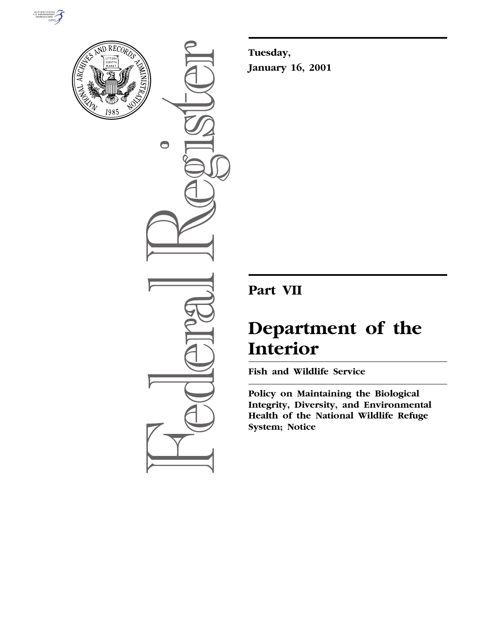



 $\bigcirc$ 

**Tuesday, January 16, 2001**

# **Part VII**

# **Department of the Interior**

**Fish and Wildlife Service**

**Policy on Maintaining the Biological Integrity, Diversity, and Environmental Health of the National Wildlife Refuge System; Notice**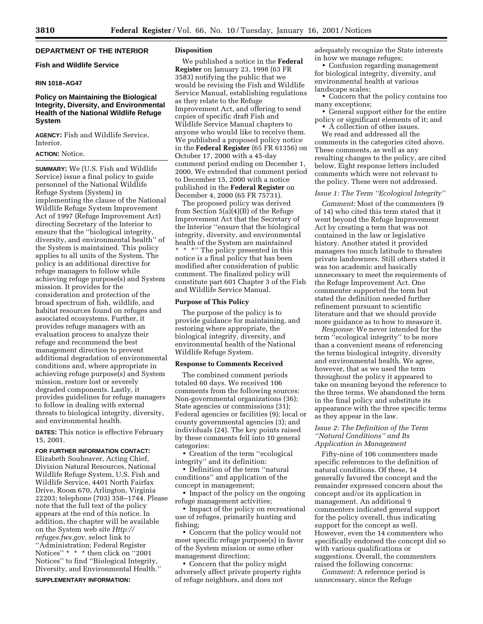### **DEPARTMENT OF THE INTERIOR**

#### **Fish and Wildlife Service**

# **RIN 1018–AG47**

# **Policy on Maintaining the Biological Integrity, Diversity, and Environmental Health of the National Wildlife Refuge System**

**AGENCY:** Fish and Wildlife Service, Interior.

# **ACTION:** Notice.

**SUMMARY:** We (U.S. Fish and Wildlife Service) issue a final policy to guide personnel of the National Wildlife Refuge System (System) in implementing the clause of the National Wildlife Refuge System Improvement Act of 1997 (Refuge Improvement Act) directing Secretary of the Interior to ensure that the ''biological integrity, diversity, and environmental health'' of the System is maintained. This policy applies to all units of the System. The policy is an additional directive for refuge managers to follow while achieving refuge purpose(s) and System mission. It provides for the consideration and protection of the broad spectrum of fish, wildlife, and habitat resources found on refuges and associated ecosystems. Further, it provides refuge managers with an evaluation process to analyze their refuge and recommend the best management direction to prevent additional degradation of environmental conditions and, where appropriate in achieving refuge purpose(s) and System mission, restore lost or severely degraded components. Lastly, it provides guidelines for refuge managers to follow in dealing with external threats to biological integrity, diversity, and environmental health.

**DATES:** This notice is effective February 15, 2001.

#### **FOR FURTHER INFORMATION CONTACT:**

Elizabeth Souheaver, Acting Chief, Division Natural Resources, National Wildlife Refuge System, U.S. Fish and Wildlife Service, 4401 North Fairfax Drive, Room 670, Arlington, Virginia 22203; telephone (703) 358–1744. Please note that the full text of the policy appears at the end of this notice. In addition, the chapter will be available on the System web site *Http:// refuges.fws.gov,* select link to ''Administration: Federal Register Notices'' \* \* \* then click on ''2001 Notices'' to find ''Biological Integrity, Diversity, and Environmental Health.''

**SUPPLEMENTARY INFORMATION:**

# **Disposition**

We published a notice in the **Federal Register** on January 23, 1998 (63 FR 3583) notifying the public that we would be revising the Fish and Wildlife Service Manual, establishing regulations as they relate to the Refuge Improvement Act, and offering to send copies of specific draft Fish and Wildlife Service Manual chapters to anyone who would like to receive them. We published a proposed policy notice in the **Federal Register** (65 FR 61356) on October 17, 2000 with a 45-day comment period ending on December 1, 2000. We extended that comment period to December 15, 2000 with a notice published in the **Federal Register** on December 4, 2000 (65 FR 75731).

The proposed policy was derived from Section 5(a)(4)(B) of the Refuge Improvement Act that the Secretary of the Interior ''ensure that the biological integrity, diversity, and environmental health of the System are maintained \* \* \*'' The policy presented in this notice is a final policy that has been modified after consideration of public comment. The finalized policy will constitute part 601 Chapter 3 of the Fish and Wildlife Service Manual.

# **Purpose of This Policy**

The purpose of the policy is to provide guidance for maintaining, and restoring where appropriate, the biological integrity, diversity, and environmental health of the National Wildlife Refuge System.

#### **Response to Comments Received**

The combined comment periods totaled 60 days. We received 106 comments from the following sources: Non-governmental organizations (36); State agencies or commissions (31); Federal agencies or facilities (9); local or county governmental agencies (3); and individuals (24). The key points raised by these comments fell into 10 general categories:

• Creation of the term ''ecological integrity'' and its definition:

• Definition of the term ''natural conditions'' and application of the concept in management;

• Impact of the policy on the ongoing refuge management activities;

• Impact of the policy on recreational use of refuges, primarily hunting and fishing;

• Concern that the policy would not meet specific refuge purpose(s) in favor of the System mission or some other management direction;

• Concern that the policy might adversely affect private property rights of refuge neighbors, and does not

adequately recognize the State interests in how we manage refuges;

• Confusion regarding management for biological integrity, diversity, and environmental health at various landscape scales;

• Concern that the policy contains too many exceptions;

• General support either for the entire policy or significant elements of it; and • A collection of other issues.

We read and addressed all the comments in the categories cited above. These comments, as well as any resulting changes to the policy, are cited below. Eight response letters included comments which were not relevant to the policy. These were not addressed.

# *Issue 1: The Term ''Ecological Integrity''*

*Comment:* Most of the commenters (9 of 14) who cited this term stated that it went beyond the Refuge Improvement Act by creating a term that was not contained in the law or legislative history. Another stated it provided managers too much latitude to threaten private landowners. Still others stated it was too academic and basically unnecessary to meet the requirements of the Refuge Improvement Act. One commenter supported the term but stated the definition needed further refinement pursuant to scientific literature and that we should provide more guidance as to how to measure it.

*Response:* We never intended for the term ''ecological integrity'' to be more than a convenient means of referencing the terms biological integrity, diversity and environmental health. We agree, however, that as we used the term throughout the policy it appeared to take on meaning beyond the reference to the three terms. We abandoned the term in the final policy and substitute its appearance with the three specific terms as they appear in the law.

# *Issue 2: The Definition of the Term ''Natural Conditions'' and Its Application in Management*

Fifty-nine of 106 commenters made specific references to the definition of natural conditions. Of these, 14 generally favored the concept and the remainder expressed concern about the concept and/or its application in management. An additional 9 commenters indicated general support for the policy overall, thus indicating support for the concept as well. However, even the 14 commenters who specifically endorsed the concept did so with various qualifications or suggestions. Overall, the commenters raised the following concerns:

*Comment:* A reference period is unnecessary, since the Refuge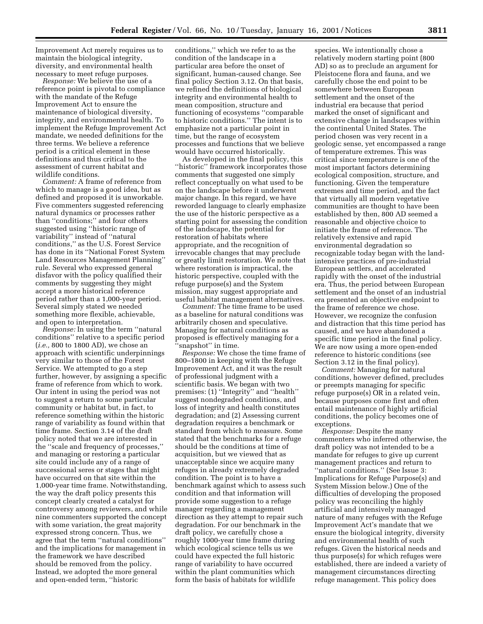Improvement Act merely requires us to maintain the biological integrity, diversity, and environmental health necessary to meet refuge purposes.

*Response:* We believe the use of a reference point is pivotal to compliance with the mandate of the Refuge Improvement Act to ensure the maintenance of biological diversity, integrity, and environmental health. To implement the Refuge Improvement Act mandate, we needed definitions for the three terms. We believe a reference period is a critical element in these definitions and thus critical to the assessment of current habitat and wildlife conditions.

*Comment:* A frame of reference from which to manage is a good idea, but as defined and proposed it is unworkable. Five commenters suggested referencing natural dynamics or processes rather than ''conditions;'' and four others suggested using ''historic range of variability'' instead of ''natural conditions,'' as the U.S. Forest Service has done in its ''National Forest System Land Resources Management Planning'' rule. Several who expressed general disfavor with the policy qualified their comments by suggesting they might accept a more historical reference period rather than a 1,000-year period. Several simply stated we needed something more flexible, achievable, and open to interpretation.

*Response:* In using the term ''natural conditions'' relative to a specific period (*i.e.,* 800 to 1800 AD), we chose an approach with scientific underpinnings very similar to those of the Forest Service. We attempted to go a step further, however, by assigning a specific frame of reference from which to work. Our intent in using the period was not to suggest a return to some particular community or habitat but, in fact, to reference something within the historic range of variability as found within that time frame. Section 3.14 of the draft policy noted that we are interested in the ''scale and frequency of processes,'' and managing or restoring a particular site could include any of a range of successional seres or stages that might have occurred on that site within the 1,000-year time frame. Notwithstanding, the way the draft policy presents this concept clearly created a catalyst for controversy among reviewers, and while nine commenters supported the concept with some variation, the great majority expressed strong concern. Thus, we agree that the term ''natural conditions'' and the implications for management in the framework we have described should be removed from the policy. Instead, we adopted the more general and open-ended term, ''historic

conditions,'' which we refer to as the condition of the landscape in a particular area before the onset of significant, human-caused change. See final policy Section 3.12. On that basis, we refined the definitions of biological integrity and environmental health to mean composition, structure and functioning of ecosystems ''comparable to historic conditions.'' The intent is to emphasize not a particular point in time, but the range of ecosystem processes and functions that we believe would have occurred historically.

As developed in the final policy, this ''historic'' framework incorporates those comments that suggested one simply reflect conceptually on what used to be on the landscape before it underwent major change. In this regard, we have reworded language to clearly emphasize the use of the historic perspective as a starting point for assessing the condition of the landscape, the potential for restoration of habitats where appropriate, and the recognition of irrevocable changes that may preclude or greatly limit restoration. We note that where restoration is impractical, the historic perspective, coupled with the refuge purpose(s) and the System mission, may suggest appropriate and useful habitat management alternatives.

*Comment:* The time frame to be used as a baseline for natural conditions was arbitrarily chosen and speculative. Managing for natural conditions as proposed is effectively managing for a 'snapshot'' in time.

*Response:* We chose the time frame of 800–1800 in keeping with the Refuge Improvement Act, and it was the result of professional judgment with a scientific basis. We began with two premises: (1) ''Integrity'' and ''health'' suggest nondegraded conditions, and loss of integrity and health constitutes degradation; and (2) Assessing current degradation requires a benchmark or standard from which to measure. Some stated that the benchmarks for a refuge should be the conditions at time of acquisition, but we viewed that as unacceptable since we acquire many refuges in already extremely degraded condition. The point is to have a benchmark against which to assess such condition and that information will provide some suggestion to a refuge manager regarding a management direction as they attempt to repair such degradation. For our benchmark in the draft policy, we carefully chose a roughly 1000-year time frame during which ecological science tells us we could have expected the full historic range of variability to have occurred within the plant communities which form the basis of habitats for wildlife

species. We intentionally chose a relatively modern starting point (800 AD) so as to preclude an argument for Pleistocene flora and fauna, and we carefully chose the end point to be somewhere between European settlement and the onset of the industrial era because that period marked the onset of significant and extensive change in landscapes within the continental United States. The period chosen was very recent in a geologic sense, yet encompassed a range of temperature extremes. This was critical since temperature is one of the most important factors determining ecological composition, structure, and functioning. Given the temperature extremes and time period, and the fact that virtually all modern vegetative communities are thought to have been established by then, 800 AD seemed a reasonable and objective choice to initiate the frame of reference. The relatively extensive and rapid environmental degradation so recognizable today began with the landintensive practices of pre-industrial European settlers, and accelerated rapidly with the onset of the industrial era. Thus, the period between European settlement and the onset of an industrial era presented an objective endpoint to the frame of reference we chose. However, we recognize the confusion and distraction that this time period has caused, and we have abandoned a specific time period in the final policy. We are now using a more open-ended reference to historic conditions (see Section 3.12 in the final policy).

*Comment:* Managing for natural conditions, however defined, precludes or preempts managing for specific refuge purpose(s) OR in a related vein, because purposes come first and often entail maintenance of highly artificial conditions, the policy becomes one of exceptions.

*Response:* Despite the many commenters who inferred otherwise, the draft policy was not intended to be a mandate for refuges to give up current management practices and return to ''natural conditions.'' (See Issue 3: Implications for Refuge Purpose(s) and System Mission below.) One of the difficulties of developing the proposed policy was reconciling the highly artificial and intensively managed nature of many refuges with the Refuge Improvement Act's mandate that we ensure the biological integrity, diversity and environmental health of such refuges. Given the historical needs and thus purpose(s) for which refuges were established, there are indeed a variety of management circumstances directing refuge management. This policy does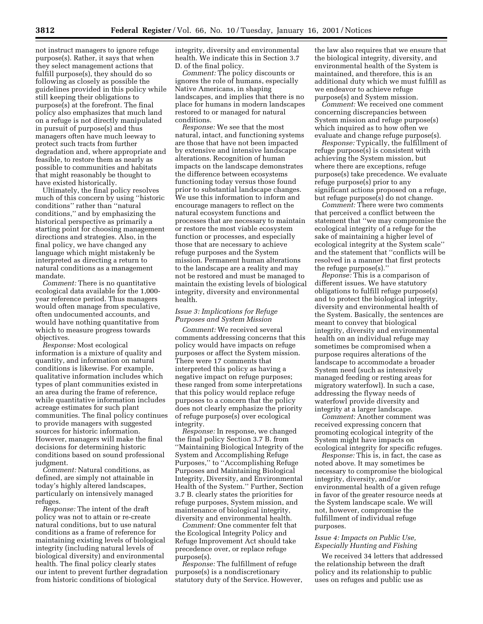not instruct managers to ignore refuge purpose(s). Rather, it says that when they select management actions that fulfill purpose(s), they should do so following as closely as possible the guidelines provided in this policy while still keeping their obligations to purpose(s) at the forefront. The final policy also emphasizes that much land on a refuge is not directly manipulated in pursuit of purpose(s) and thus managers often have much leeway to protect such tracts from further degradation and, where appropriate and feasible, to restore them as nearly as possible to communities and habitats that might reasonably be thought to have existed historically.

Ultimately, the final policy resolves much of this concern by using ''historic conditions'' rather than ''natural conditions,'' and by emphasizing the historical perspective as primarily a starting point for choosing management directions and strategies. Also, in the final policy, we have changed any language which might mistakenly be interpreted as directing a return to natural conditions as a management mandate.

*Comment:* There is no quantitative ecological data available for the 1,000 year reference period. Thus managers would often manage from speculative, often undocumented accounts, and would have nothing quantitative from which to measure progress towards objectives.

*Response:* Most ecological information is a mixture of quality and quantity, and information on natural conditions is likewise. For example, qualitative information includes which types of plant communities existed in an area during the frame of reference, while quantitative information includes acreage estimates for such plant communities. The final policy continues to provide managers with suggested sources for historic information. However, managers will make the final decisions for determining historic conditions based on sound professional judgment.

*Comment:* Natural conditions, as defined, are simply not attainable in today's highly altered landscapes, particularly on intensively managed refuges.

*Response:* The intent of the draft policy was not to attain or re-create natural conditions, but to use natural conditions as a frame of reference for maintaining existing levels of biological integrity (including natural levels of biological diversity) and environmental health. The final policy clearly states our intent to prevent further degradation from historic conditions of biological

integrity, diversity and environmental health. We indicate this in Section 3.7 D. of the final policy.

*Comment:* The policy discounts or ignores the role of humans, especially Native Americans, in shaping landscapes, and implies that there is no place for humans in modern landscapes restored to or managed for natural conditions.

*Response:* We see that the most natural, intact, and functioning systems are those that have not been impacted by extensive and intensive landscape alterations. Recognition of human impacts on the landscape demonstrates the difference between ecosystems functioning today versus those found prior to substantial landscape changes. We use this information to inform and encourage managers to reflect on the natural ecosystem functions and processes that are necessary to maintain or restore the most viable ecosystem function or processes, and especially those that are necessary to achieve refuge purposes and the System mission. Permanent human alterations to the landscape are a reality and may not be restored and must be managed to maintain the existing levels of biological integrity, diversity and environmental health.

#### *Issue 3: Implications for Refuge Purposes and System Mission*

*Comment:* We received several comments addressing concerns that this policy would have impacts on refuge purposes or affect the System mission. There were 17 comments that interpreted this policy as having a negative impact on refuge purposes; these ranged from some interpretations that this policy would replace refuge purposes to a concern that the policy does not clearly emphasize the priority of refuge purpose(s) over ecological integrity.

*Response:* In response, we changed the final policy Section 3.7 B. from ''Maintaining Biological Integrity of the System and Accomplishing Refuge Purposes,'' to ''Accomplishing Refuge Purposes and Maintaining Biological Integrity, Diversity, and Environmental Health of the System.'' Further, Section 3.7 B. clearly states the priorities for refuge purposes, System mission, and maintenance of biological integrity, diversity and environmental health.

*Comment:* One commenter felt that the Ecological Integrity Policy and Refuge Improvement Act should take precedence over, or replace refuge purpose(s).

*Response:* The fulfillment of refuge purpose(s) is a nondiscretionary statutory duty of the Service. However,

the law also requires that we ensure that the biological integrity, diversity, and environmental health of the System is maintained, and therefore, this is an additional duty which we must fulfill as we endeavor to achieve refuge purpose(s) and System mission.

*Comment:* We received one comment concerning discrepancies between System mission and refuge purpose(s) which inquired as to how often we evaluate and change refuge purpose(s).

*Response:* Typically, the fulfillment of refuge purpose(s) is consistent with achieving the System mission, but where there are exceptions, refuge purpose(s) take precedence. We evaluate refuge purpose(s) prior to any significant actions proposed on a refuge, but refuge purpose(s) do not change.

*Comment:* There were two comments that perceived a conflict between the statement that ''we may compromise the ecological integrity of a refuge for the sake of maintaining a higher level of ecological integrity at the System scale'' and the statement that ''conflicts will be resolved in a manner that first protects the refuge purpose(s).''

*Reponse:* This is a comparison of different issues. We have statutory obligations to fulfill refuge purpose(s) and to protect the biological integrity, diversity and environmental health of the System. Basically, the sentences are meant to convey that biological integrity, diversity and environmental health on an individual refuge may sometimes be compromised when a purpose requires alterations of the landscape to accommodate a broader System need (such as intensively managed feeding or resting areas for migratory waterfowl). In such a case, addressing the flyway needs of waterfowl provide diversity and integrity at a larger landscape.

*Comment:* Another comment was received expressing concern that promoting ecological integrity of the System might have impacts on ecological integrity for specific refuges.

*Response:* This is, in fact, the case as noted above. It may sometimes be necessary to compromise the biological integrity, diversity, and/or environmental health of a given refuge in favor of the greater resource needs at the System landscape scale. We will not, however, compromise the fulfillment of individual refuge purposes.

# *Issue 4: Impacts on Public Use, Especially Hunting and Fishing*

We received 34 letters that addressed the relationship between the draft policy and its relationship to public uses on refuges and public use as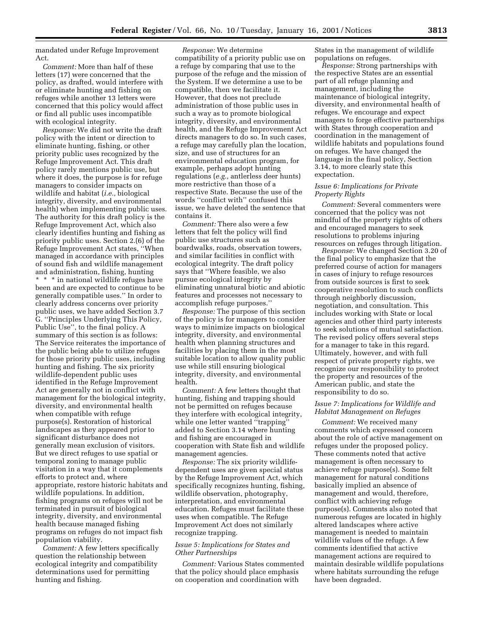mandated under Refuge Improvement Act.

*Comment:* More than half of these letters (17) were concerned that the policy, as drafted, would interfere with or eliminate hunting and fishing on refuges while another 13 letters were concerned that this policy would affect or find all public uses incompatible with ecological integrity.

*Response:* We did not write the draft policy with the intent or direction to eliminate hunting, fishing, or other priority public uses recognized by the Refuge Improvement Act. This draft policy rarely mentions public use, but where it does, the purpose is for refuge managers to consider impacts on wildlife and habitat (*i.e.,* biological integrity, diversity, and environmental health) when implementing public uses. The authority for this draft policy is the Refuge Improvement Act, which also clearly identifies hunting and fishing as priority public uses. Section 2.(6) of the Refuge Improvement Act states, ''When managed in accordance with principles of sound fish and wildlife management and administration, fishing, hunting \* \* \* in national wildlife refuges have been and are expected to continue to be generally compatible uses.'' In order to clearly address concerns over priority public uses, we have added Section 3.7 G. ''Principles Underlying This Policy, Public Use'', to the final policy. A summary of this section is as follows: The Service reiterates the importance of the public being able to utilize refuges for those priority public uses, including hunting and fishing. The six priority wildlife-dependent public uses identified in the Refuge Improvement Act are generally not in conflict with management for the biological integrity, diversity, and environmental health when compatible with refuge purpose(s). Restoration of historical landscapes as they appeared prior to significant disturbance does not generally mean exclusion of visitors. But we direct refuges to use spatial or temporal zoning to manage public visitation in a way that it complements efforts to protect and, where appropriate, restore historic habitats and wildlife populations. In addition, fishing programs on refuges will not be terminated in pursuit of biological integrity, diversity, and environmental health because managed fishing programs on refuges do not impact fish population viability.

*Comment:* A few letters specifically question the relationship between ecological integrity and compatibility determinations used for permitting hunting and fishing.

*Response:* We determine compatibility of a priority public use on a refuge by comparing that use to the purpose of the refuge and the mission of the System. If we determine a use to be compatible, then we facilitate it. However, that does not preclude administration of those public uses in such a way as to promote biological integrity, diversity, and environmental health, and the Refuge Improvement Act directs managers to do so. In such cases, a refuge may carefully plan the location, size, and use of structures for an environmental education program, for example, perhaps adopt hunting regulations (*e.g.,* antlerless deer hunts) more restrictive than those of a respective State. Because the use of the words ''conflict with'' confused this issue, we have deleted the sentence that contains it.

*Comment:* There also were a few letters that felt the policy will find public use structures such as boardwalks, roads, observation towers, and similar facilities in conflict with ecological integrity. The draft policy says that ''Where feasible, we also pursue ecological integrity by eliminating unnatural biotic and abiotic features and processes not necessary to accomplish refuge purposes.''

*Response:* The purpose of this section of the policy is for managers to consider ways to minimize impacts on biological integrity, diversity, and environmental health when planning structures and facilities by placing them in the most suitable location to allow quality public use while still ensuring biological integrity, diversity, and environmental health.

*Comment:* A few letters thought that hunting, fishing and trapping should not be permitted on refuges because they interfere with ecological integrity, while one letter wanted "trapping" added to Section 3.14 where hunting and fishing are encouraged in cooperation with State fish and wildlife management agencies.

*Response:* The six priority wildlifedependent uses are given special status by the Refuge Improvement Act, which specifically recognizes hunting, fishing, wildlife observation, photography, interpretation, and environmental education. Refuges must facilitate these uses when compatible. The Refuge Improvement Act does not similarly recognize trapping.

# *Issue 5: Implications for States and Other Partnerships*

*Comment:* Various States commented that the policy should place emphasis on cooperation and coordination with

States in the management of wildlife populations on refuges.

*Response:* Strong partnerships with the respective States are an essential part of all refuge planning and management, including the maintenance of biological integrity, diversity, and environmental health of refuges. We encourage and expect managers to forge effective partnerships with States through cooperation and coordination in the management of wildlife habitats and populations found on refuges. We have changed the language in the final policy, Section 3.14, to more clearly state this expectation.

# *Issue 6: Implications for Private Property Rights*

*Comment:* Several commenters were concerned that the policy was not mindful of the property rights of others and encouraged managers to seek resolutions to problems injuring resources on refuges through litigation.

*Response:* We changed Section 3.20 of the final policy to emphasize that the preferred course of action for managers in cases of injury to refuge resources from outside sources is first to seek cooperative resolution to such conflicts through neighborly discussion, negotiation, and consultation. This includes working with State or local agencies and other third party interests to seek solutions of mutual satisfaction. The revised policy offers several steps for a manager to take in this regard. Ultimately, however, and with full respect of private property rights, we recognize our responsibility to protect the property and resources of the American public, and state the responsibility to do so.

# *Issue 7: Implications for Wildlife and Habitat Management on Refuges*

*Comment:* We received many comments which expressed concern about the role of active management on refuges under the proposed policy. These comments noted that active management is often necessary to achieve refuge purpose(s). Some felt management for natural conditions basically implied an absence of management and would, therefore, conflict with achieving refuge purpose(s). Comments also noted that numerous refuges are located in highly altered landscapes where active management is needed to maintain wildlife values of the refuge. A few comments identified that active management actions are required to maintain desirable wildlife populations where habitats surrounding the refuge have been degraded.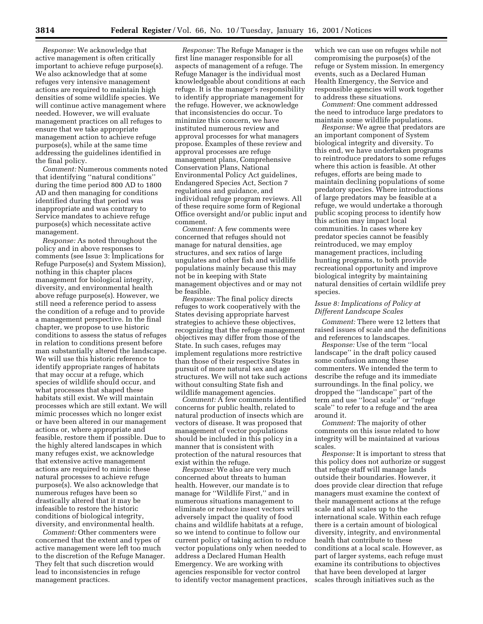*Response:* We acknowledge that active management is often critically important to achieve refuge purpose(s). We also acknowledge that at some refuges very intensive management actions are required to maintain high densities of some wildlife species. We will continue active management where needed. However, we will evaluate management practices on all refuges to ensure that we take appropriate management action to achieve refuge purpose(s), while at the same time addressing the guidelines identified in the final policy.

*Comment:* Numerous comments noted that identifying ''natural conditions'' during the time period 800 AD to 1800 AD and then managing for conditions identified during that period was inappropriate and was contrary to Service mandates to achieve refuge purpose(s) which necessitate active management.

*Response:* As noted throughout the policy and in above responses to comments (see Issue 3: Implications for Refuge Purpose(s) and System Mission), nothing in this chapter places management for biological integrity, diversity, and environmental health above refuge purpose(s). However, we still need a reference period to assess the condition of a refuge and to provide a management perspective. In the final chapter, we propose to use historic conditions to assess the status of refuges in relation to conditions present before man substantially altered the landscape. We will use this historic reference to identify appropriate ranges of habitats that may occur at a refuge, which species of wildlife should occur, and what processes that shaped these habitats still exist. We will maintain processes which are still extant. We will mimic processes which no longer exist or have been altered in our management actions or, where appropriate and feasible, restore them if possible. Due to the highly altered landscapes in which many refuges exist, we acknowledge that extensive active management actions are required to mimic these natural processes to achieve refuge purpose(s). We also acknowledge that numerous refuges have been so drastically altered that it may be infeasible to restore the historic conditions of biological integrity, diversity, and environmental health.

*Comment:* Other commenters were concerned that the extent and types of active management were left too much to the discretion of the Refuge Manager. They felt that such discretion would lead to inconsistencies in refuge management practices.

*Response:* The Refuge Manager is the first line manager responsible for all aspects of management of a refuge. The Refuge Manager is the individual most knowledgeable about conditions at each refuge. It is the manager's responsibility to identify appropriate management for the refuge. However, we acknowledge that inconsistencies do occur. To minimize this concern, we have instituted numerous review and approval processes for what managers propose. Examples of these review and approval processes are refuge management plans, Comprehensive Conservation Plans, National Environmental Policy Act guidelines, Endangered Species Act, Section 7 regulations and guidance, and individual refuge program reviews. All of these require some form of Regional Office oversight and/or public input and comment.

*Comment:* A few comments were concerned that refuges should not manage for natural densities, age structures, and sex ratios of large ungulates and other fish and wildlife populations mainly because this may not be in keeping with State management objectives and or may not be feasible.

*Response:* The final policy directs refuges to work cooperatively with the States devising appropriate harvest strategies to achieve these objectives, recognizing that the refuge management objectives may differ from those of the State. In such cases, refuges may implement regulations more restrictive than those of their respective States in pursuit of more natural sex and age structures. We will not take such actions without consulting State fish and wildlife management agencies.

*Comment:* A few comments identified concerns for public health, related to natural production of insects which are vectors of disease. It was proposed that management of vector populations should be included in this policy in a manner that is consistent with protection of the natural resources that exist within the refuge.

*Response:* We also are very much concerned about threats to human health. However, our mandate is to manage for ''Wildlife First,'' and in numerous situations management to eliminate or reduce insect vectors will adversely impact the quality of food chains and wildlife habitats at a refuge, so we intend to continue to follow our current policy of taking action to reduce vector populations only when needed to address a Declared Human Health Emergency. We are working with agencies responsible for vector control to identify vector management practices,

which we can use on refuges while not compromising the purpose(s) of the refuge or System mission. In emergency events, such as a Declared Human Health Emergency, the Service and responsible agencies will work together to address these situations.

*Comment:* One comment addressed the need to introduce large predators to maintain some wildlife populations.

*Response:* We agree that predators are an important component of System biological integrity and diversity. To this end, we have undertaken programs to reintroduce predators to some refuges where this action is feasible. At other refuges, efforts are being made to maintain declining populations of some predatory species. Where introductions of large predators may be feasible at a refuge, we would undertake a thorough public scoping process to identify how this action may impact local communities. In cases where key predator species cannot be feasibly reintroduced, we may employ management practices, including hunting programs, to both provide recreational opportunity and improve biological integrity by maintaining natural densities of certain wildlife prey species.

#### *Issue 8: Implications of Policy at Different Landscape Scales*

*Comment:* There were 12 letters that raised issues of scale and the definitions and references to landscapes.

*Response:* Use of the term ''local landscape'' in the draft policy caused some confusion among these commenters. We intended the term to describe the refuge and its immediate surroundings. In the final policy, we dropped the ''landscape'' part of the term and use ''local scale'' or ''refuge scale'' to refer to a refuge and the area around it.

*Comment:* The majority of other comments on this issue related to how integrity will be maintained at various scales.

*Response:* It is important to stress that this policy does not authorize or suggest that refuge staff will manage lands outside their boundaries. However, it does provide clear direction that refuge managers must examine the context of their management actions at the refuge scale and all scales up to the international scale. Within each refuge there is a certain amount of biological diversity, integrity, and environmental health that contribute to these conditions at a local scale. However, as part of larger systems, each refuge must examine its contributions to objectives that have been developed at larger scales through initiatives such as the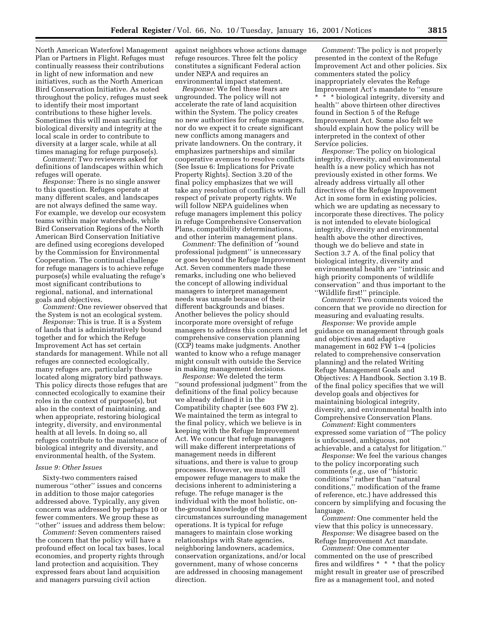North American Waterfowl Management Plan or Partners in Flight. Refuges must continually reassess their contributions in light of new information and new initiatives, such as the North American Bird Conservation Initiative. As noted throughout the policy, refuges must seek to identify their most important contributions to these higher levels. Sometimes this will mean sacrificing biological diversity and integrity at the local scale in order to contribute to diversity at a larger scale, while at all times managing for refuge purpose(s).

*Comment:* Two reviewers asked for definitions of landscapes within which refuges will operate.

*Response:* There is no single answer to this question. Refuges operate at many different scales, and landscapes are not always defined the same way. For example, we develop our ecosystem teams within major watersheds, while Bird Conservation Regions of the North American Bird Conservation Initiative are defined using ecoregions developed by the Commission for Environmental Cooperation. The continual challenge for refuge managers is to achieve refuge purpose(s) while evaluating the refuge's most significant contributions to regional, national, and international goals and objectives.

*Comment:* One reviewer observed that the System is not an ecological system.

*Response:* This is true. It is a System of lands that is administratively bound together and for which the Refuge Improvement Act has set certain standards for management. While not all refuges are connected ecologically, many refuges are, particularly those located along migratory bird pathways. This policy directs those refuges that are connected ecologically to examine their roles in the context of purpose(s), but also in the context of maintaining, and when appropriate, restoring biological integrity, diversity, and environmental health at all levels. In doing so, all refuges contribute to the maintenance of biological integrity and diversity, and environmental health, of the System.

#### *Issue 9: Other Issues*

Sixty-two commenters raised numerous ''other'' issues and concerns in addition to those major categories addressed above. Typically, any given concern was addressed by perhaps 10 or fewer commenters. We group these as ''other'' issues and address them below:

*Comment:* Seven commenters raised the concern that the policy will have a profound effect on local tax bases, local economies, and property rights through land protection and acquisition. They expressed fears about land acquisition and managers pursuing civil action

against neighbors whose actions damage refuge resources. Three felt the policy constitutes a significant Federal action under NEPA and requires an environmental impact statement.

*Response:* We feel these fears are ungrounded. The policy will not accelerate the rate of land acquisition within the System. The policy creates no new authorities for refuge managers, nor do we expect it to create significant new conflicts among managers and private landowners. On the contrary, it emphasizes partnerships and similar cooperative avenues to resolve conflicts (See Issue 6: Implications for Private Property Rights). Section 3.20 of the final policy emphasizes that we will take any resolution of conflicts with full respect of private property rights. We will follow NEPA guidelines when refuge managers implement this policy in refuge Comprehensive Conservation Plans, compatibility determinations, and other interim management plans.

*Comment:* The definition of ''sound professional judgment'' is unnecessary or goes beyond the Refuge Improvement Act. Seven commenters made these remarks, including one who believed the concept of allowing individual managers to interpret management needs was unsafe because of their different backgrounds and biases. Another believes the policy should incorporate more oversight of refuge managers to address this concern and let comprehensive conservation planning (CCP) teams make judgments. Another wanted to know who a refuge manager might consult with outside the Service in making management decisions.

*Response:* We deleted the term ''sound professional judgment'' from the definitions of the final policy because we already defined it in the Compatibility chapter (see 603 FW 2). We maintained the term as integral to the final policy, which we believe is in keeping with the Refuge Improvement Act. We concur that refuge managers will make different interpretations of management needs in different situations, and there is value to group processes. However, we must still empower refuge managers to make the decisions inherent to administering a refuge. The refuge manager is the individual with the most holistic, onthe-ground knowledge of the circumstances surrounding management operations. It is typical for refuge managers to maintain close working relationships with State agencies, neighboring landowners, academics, conservation organizations, and/or local government, many of whose concerns are addressed in choosing management direction.

*Comment:* The policy is not properly presented in the context of the Refuge Improvement Act and other policies. Six commenters stated the policy inappropriately elevates the Refuge Improvement Act's mandate to ''ensure

\* \* \* biological integrity, diversity and health'' above thirteen other directives found in Section 5 of the Refuge Improvement Act. Some also felt we should explain how the policy will be interpreted in the context of other Service policies.

*Response:* The policy on biological integrity, diversity, and environmental health is a new policy which has not previously existed in other forms. We already address virtually all other directives of the Refuge Improvement Act in some form in existing policies, which we are updating as necessary to incorporate these directives. The policy is not intended to elevate biological integrity, diversity and environmental health above the other directives, though we do believe and state in Section 3.7 A. of the final policy that biological integrity, diversity and environmental health are ''intrinsic and high priority components of wildlife conservation'' and thus important to the ''Wildlife first!'' principle.

*Comment:* Two comments voiced the concern that we provide no direction for measuring and evaluating results.

*Response:* We provide ample guidance on management through goals and objectives and adaptive management in 602 FW 1–4 (policies related to comprehensive conservation planning) and the related Writing Refuge Management Goals and Objectives: A Handbook. Section 3.19 B. of the final policy specifies that we will develop goals and objectives for maintaining biological integrity, diversity, and environmental health into Comprehensive Conservation Plans.

*Comment:* Eight commenters expressed some variation of ''The policy is unfocused, ambiguous, not achievable, and a catalyst for litigation.''

*Response:* We feel the various changes to the policy incorporating such comments (*e.g.,* use of ''historic conditions'' rather than ''natural conditions,'' modification of the frame of reference, etc.) have addressed this concern by simplifying and focusing the language.

*Comment:* One commenter held the view that this policy is unnecessary.

*Response:* We disagree based on the Refuge Improvement Act mandate.

*Comment:* One commenter commented on the use of prescribed fires and wildfires \* \* \* that the policy might result in greater use of prescribed fire as a management tool, and noted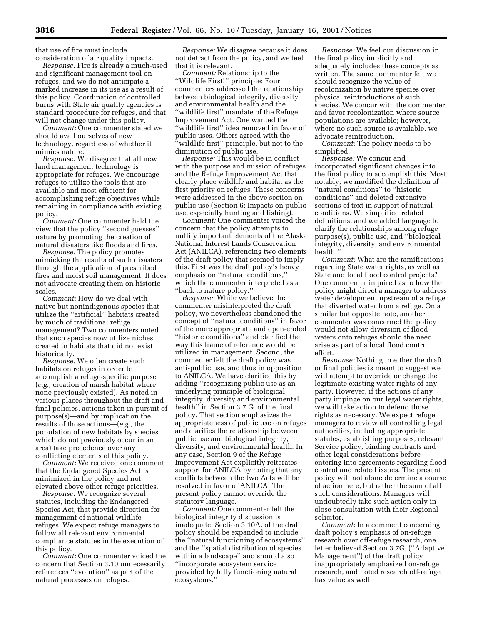that use of fire must include consideration of air quality impacts.

*Response:* Fire is already a much-used and significant management tool on refuges, and we do not anticipate a marked increase in its use as a result of this policy. Coordination of controlled burns with State air quality agencies is standard procedure for refuges, and that will not change under this policy.

*Comment:* One commenter stated we should avail ourselves of new technology, regardless of whether it mimics nature.

*Response:* We disagree that all new land management technology is appropriate for refuges. We encourage refuges to utilize the tools that are available and most efficient for accomplishing refuge objectives while remaining in compliance with existing policy.

*Comment:* One commenter held the view that the policy ''second guesses'' nature by promoting the creation of natural disasters like floods and fires.

*Response:* The policy promotes mimicking the results of such disasters through the application of prescribed fires and moist soil management. It does not advocate creating them on historic scales.

*Comment:* How do we deal with native but nonindigenous species that utilize the ''artificial'' habitats created by much of traditional refuge management? Two commenters noted that such species now utilize niches created in habitats that did not exist historically.

*Response:* We often create such habitats on refuges in order to accomplish a refuge-specific purpose (*e.g.,* creation of marsh habitat where none previously existed). As noted in various places throughout the draft and final policies, actions taken in pursuit of purpose(s)—and by implication the results of those actions—(*e.g.,* the population of new habitats by species which do not previously occur in an area) take precedence over any conflicting elements of this policy.

*Comment:* We received one comment that the Endangered Species Act is minimized in the policy and not elevated above other refuge priorities.

*Response:* We recognize several statutes, including the Endangered Species Act, that provide direction for management of national wildlife refuges. We expect refuge managers to follow all relevant environmental compliance statutes in the execution of this policy.

*Comment:* One commenter voiced the concern that Section 3.10 unnecessarily references ''evolution'' as part of the natural processes on refuges.

*Response:* We disagree because it does not detract from the policy, and we feel that it is relevant.

*Comment:* Relationship to the ''Wildlife First!'' principle: Four commenters addressed the relationship between biological integrity, diversity and environmental health and the ''wildlife first'' mandate of the Refuge Improvement Act. One wanted the ''wildlife first'' idea removed in favor of public uses. Others agreed with the ''wildlife first'' principle, but not to the diminution of public use.

*Response:* This would be in conflict with the purpose and mission of refuges and the Refuge Improvement Act that clearly place wildlife and habitat as the first priority on refuges. These concerns were addressed in the above section on public use (Section 6: Impacts on public use, especially hunting and fishing).

*Comment:* One commenter voiced the concern that the policy attempts to nullify important elements of the Alaska National Interest Lands Conservation Act (ANILCA), referencing two elements of the draft policy that seemed to imply this. First was the draft policy's heavy emphasis on ''natural conditions,'' which the commenter interpreted as a ''back to nature policy.''

*Response:* While we believe the commenter misinterpreted the draft policy, we nevertheless abandoned the concept of ''natural conditions'' in favor of the more appropriate and open-ended ''historic conditions'' and clarified the way this frame of reference would be utilized in management. Second, the commenter felt the draft policy was anti-public use, and thus in opposition to ANILCA. We have clarified this by adding ''recognizing public use as an underlying principle of biological integrity, diversity and environmental health'' in Section 3.7 G. of the final policy. That section emphasizes the appropriateness of public use on refuges and clarifies the relationship between public use and biological integrity, diversity, and environmental health. In any case, Section 9 of the Refuge Improvement Act explicitly reiterates support for ANILCA by noting that any conflicts between the two Acts will be resolved in favor of ANILCA. The present policy cannot override the statutory language.

*Comment:* One commenter felt the biological integrity discussion is inadequate. Section 3.10A. of the draft policy should be expanded to include the ''natural functioning of ecosystems'' and the ''spatial distribution of species within a landscape'' and should also ''incorporate ecosystem service provided by fully functioning natural ecosystems.''

*Response:* We feel our discussion in the final policy implicitly and adequately includes these concepts as written. The same commenter felt we should recognize the value of recolonization by native species over physical reintroductions of such species. We concur with the commenter and favor recolonization where source populations are available; however, where no such source is available, we advocate reintroduction.

*Comment:* The policy needs to be simplified.

*Response:* We concur and incorporated significant changes into the final policy to accomplish this. Most notably, we modified the definition of ''natural conditions'' to ''historic conditions'' and deleted extensive sections of text in support of natural conditions. We simplified related definitions, and we added language to clarify the relationships among refuge purpose(s), public use, and ''biological integrity, diversity, and environmental health.''

*Comment:* What are the ramifications regarding State water rights, as well as State and local flood control projects? One commenter inquired as to how the policy might direct a manager to address water development upstream of a refuge that diverted water from a refuge. On a similar but opposite note, another commenter was concerned the policy would not allow diversion of flood waters onto refuges should the need arise as part of a local flood control effort.

*Response:* Nothing in either the draft or final policies is meant to suggest we will attempt to override or change the legitimate existing water rights of any party. However, if the actions of any party impinge on our legal water rights, we will take action to defend those rights as necessary. We expect refuge managers to review all controlling legal authorities, including appropriate statutes, establishing purposes, relevant Service policy, binding contracts and other legal considerations before entering into agreements regarding flood control and related issues. The present policy will not alone determine a course of action here, but rather the sum of all such considerations. Managers will undoubtedly take such action only in close consultation with their Regional solicitor.

*Comment:* In a comment concerning draft policy's emphasis of on-refuge research over off-refuge research, one letter believed Section 3.7G. (''Adaptive Management'') of the draft policy inappropriately emphasized on-refuge research, and noted research off-refuge has value as well.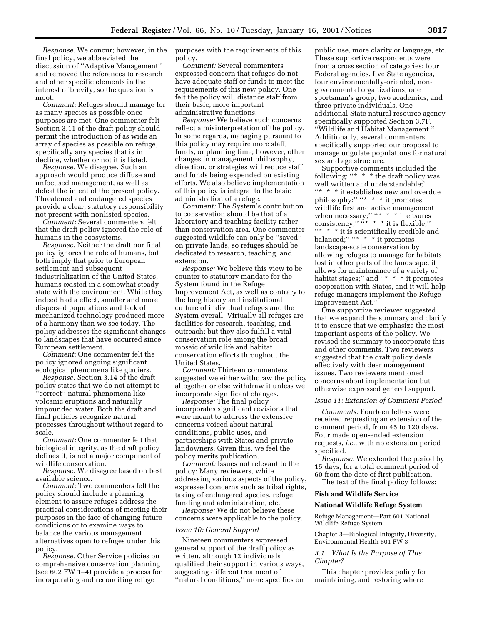*Response:* We concur; however, in the final policy, we abbreviated the discussion of ''Adaptive Management'' and removed the references to research and other specific elements in the interest of brevity, so the question is moot.

*Comment:* Refuges should manage for as many species as possible once purposes are met. One commenter felt Section 3.11 of the draft policy should permit the introduction of as wide an array of species as possible on refuge, specifically any species that is in decline, whether or not it is listed.

*Response:* We disagree. Such an approach would produce diffuse and unfocused management, as well as defeat the intent of the present policy. Threatened and endangered species provide a clear, statutory responsibility not present with nonlisted species.

*Comment:* Several commenters felt that the draft policy ignored the role of humans in the ecosystems.

*Response:* Neither the draft nor final policy ignores the role of humans, but both imply that prior to European settlement and subsequent industrialization of the United States, humans existed in a somewhat steady state with the environment. While they indeed had a effect, smaller and more dispersed populations and lack of mechanized technology produced more of a harmony than we see today. The policy addresses the significant changes to landscapes that have occurred since European settlement.

*Comment:* One commenter felt the policy ignored ongoing significant ecological phenomena like glaciers.

*Response:* Section 3.14 of the draft policy states that we do not attempt to ''correct'' natural phenomena like volcanic eruptions and naturally impounded water. Both the draft and final policies recognize natural processes throughout without regard to scale.

*Comment:* One commenter felt that biological integrity, as the draft policy defines it, is not a major component of wildlife conservation.

*Response:* We disagree based on best available science.

*Comment:* Two commenters felt the policy should include a planning element to assure refuges address the practical considerations of meeting their purposes in the face of changing future conditions or to examine ways to balance the various management alternatives open to refuges under this policy.

*Response:* Other Service policies on comprehensive conservation planning (see 602 FW 1–4) provide a process for incorporating and reconciling refuge

purposes with the requirements of this policy.

*Comment:* Several commenters expressed concern that refuges do not have adequate staff or funds to meet the requirements of this new policy. One felt the policy will distance staff from their basic, more important administrative functions.

*Response:* We believe such concerns reflect a misinterpretation of the policy. In some regards, managing pursuant to this policy may require more staff, funds, or planning time; however, other changes in management philosophy, direction, or strategies will reduce staff and funds being expended on existing efforts. We also believe implementation of this policy is integral to the basic administration of a refuge.

*Comment:* The System's contribution to conservation should be that of a laboratory and teaching facility rather than conservation area. One commenter suggested wildlife can only be ''saved'' on private lands, so refuges should be dedicated to research, teaching, and extension.

*Response:* We believe this view to be counter to statutory mandate for the System found in the Refuge Improvement Act, as well as contrary to the long history and institutional culture of individual refuges and the System overall. Virtually all refuges are facilities for research, teaching, and outreach; but they also fulfill a vital conservation role among the broad mosaic of wildlife and habitat conservation efforts throughout the United States.

*Comment:* Thirteen commenters suggested we either withdraw the policy altogether or else withdraw it unless we incorporate significant changes.

*Response:* The final policy incorporates significant revisions that were meant to address the extensive concerns voiced about natural conditions, public uses, and partnerships with States and private landowners. Given this, we feel the policy merits publication.

*Comment:* Issues not relevant to the policy: Many reviewers, while addressing various aspects of the policy, expressed concerns such as tribal rights, taking of endangered species, refuge funding and administration, etc.

*Response:* We do not believe these concerns were applicable to the policy.

#### *Issue 10: General Support*

Nineteen commenters expressed general support of the draft policy as written, although 12 individuals qualified their support in various ways, suggesting different treatment of ''natural conditions,'' more specifics on

public use, more clarity or language, etc. These supportive respondents were from a cross section of categories: four Federal agencies, five State agencies, four environmentally-oriented, nongovernmental organizations, one sportsman's group, two academics, and three private individuals. One additional State natural resource agency specifically supported Section 3.7F. ''Wildlife and Habitat Management.'' Additionally, several commenters specifically supported our proposal to manage ungulate populations for natural sex and age structure.

Supportive comments included the following: "\*  $*$  \* the draft policy was well written and understandable;''  $\lq \lq \lq \lq \lq \lq \lq$  \* it establishes new and overdue philosophy;'' ''\* \* \* it promotes wildlife first and active management when necessary;'' ''\* \* \* it ensures consistency;'' ''\* \* \* it is flexible;'' ''\* \* \* it is scientifically credible and balanced;" "\* \* \* it promotes landscape-scale conservation by allowing refuges to manage for habitats lost in other parts of the landscape, it allows for maintenance of a variety of habitat stages;" and "\* \* \* it promotes cooperation with States, and it will help refuge managers implement the Refuge Improvement Act.''

One supportive reviewer suggested that we expand the summary and clarify it to ensure that we emphasize the most important aspects of the policy. We revised the summary to incorporate this and other comments. Two reviewers suggested that the draft policy deals effectively with deer management issues. Two reviewers mentioned concerns about implementation but otherwise expressed general support.

#### *Issue 11: Extension of Comment Period*

*Comments:* Fourteen letters were received requesting an extension of the comment period, from 45 to 120 days. Four made open-ended extension requests, *i.e.,* with no extension period specified.

*Response:* We extended the period by 15 days, for a total comment period of 60 from the date of first publication. The text of the final policy follows:

#### **Fish and Wildlife Service**

#### **National Wildlife Refuge System**

Refuge Management—Part 601 National Wildlife Refuge System

Chapter 3—Biological Integrity, Diversity, Environmental Health 601 FW 3

# *3.1 What Is the Purpose of This Chapter?*

This chapter provides policy for maintaining, and restoring where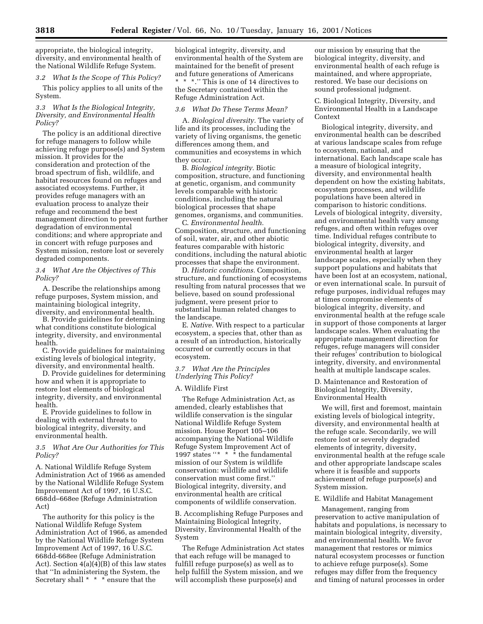appropriate, the biological integrity, diversity, and environmental health of the National Wildlife Refuge System.

*3.2 What Is the Scope of This Policy?*

This policy applies to all units of the System.

### *3.3 What Is the Biological Integrity, Diversity, and Environmental Health Policy?*

The policy is an additional directive for refuge managers to follow while achieving refuge purpose(s) and System mission. It provides for the consideration and protection of the broad spectrum of fish, wildlife, and habitat resources found on refuges and associated ecosystems. Further, it provides refuge managers with an evaluation process to analyze their refuge and recommend the best management direction to prevent further degradation of environmental conditions; and where appropriate and in concert with refuge purposes and System mission, restore lost or severely degraded components.

*3.4 What Are the Objectives of This Policy?*

A. Describe the relationships among refuge purposes, System mission, and maintaining biological integrity, diversity, and environmental health.

B. Provide guidelines for determining what conditions constitute biological integrity, diversity, and environmental health.

C. Provide guidelines for maintaining existing levels of biological integrity, diversity, and environmental health.

D. Provide guidelines for determining how and when it is appropriate to restore lost elements of biological integrity, diversity, and environmental health.

E. Provide guidelines to follow in dealing with external threats to biological integrity, diversity, and environmental health.

*3.5 What Are Our Authorities for This Policy?*

A. National Wildlife Refuge System Administration Act of 1966 as amended by the National Wildlife Refuge System Improvement Act of 1997, 16 U.S.C. 668dd–668ee (Refuge Administration Act)

The authority for this policy is the National Wildlife Refuge System Administration Act of 1966, as amended by the National Wildlife Refuge System Improvement Act of 1997, 16 U.S.C. 668dd-668ee (Refuge Administration Act). Section  $4(a)(4)(B)$  of this law states that ''In administering the System, the Secretary shall \* \* \* ensure that the

biological integrity, diversity, and environmental health of the System are maintained for the benefit of present and future generations of Americans \* \* \*.'' This is one of 14 directives to the Secretary contained within the Refuge Administration Act.

#### *3.6 What Do These Terms Mean?*

A. *Biological diversity.* The variety of life and its processes, including the variety of living organisms, the genetic differences among them, and communities and ecosystems in which they occur.

B. *Biological integrity.* Biotic composition, structure, and functioning at genetic, organism, and community levels comparable with historic conditions, including the natural biological processes that shape genomes, organisms, and communities. C. *Environmental health.*

Composition, structure, and functioning of soil, water, air, and other abiotic features comparable with historic conditions, including the natural abiotic processes that shape the environment.

D. *Historic conditions.* Composition, structure, and functioning of ecosystems resulting from natural processes that we believe, based on sound professional judgment, were present prior to substantial human related changes to the landscape.

E. *Native.* With respect to a particular ecosystem, a species that, other than as a result of an introduction, historically occurred or currently occurs in that ecosystem.

#### *3.7 What Are the Principles Underlying This Policy?*

#### A. Wildlife First

The Refuge Administration Act, as amended, clearly establishes that wildlife conservation is the singular National Wildlife Refuge System mission. House Report 105–106 accompanying the National Wildlife Refuge System Improvement Act of 1997 states "\* \* \* the fundamental mission of our System is wildlife conservation: wildlife and wildlife conservation must come first.'' Biological integrity, diversity, and environmental health are critical components of wildlife conservation.

B. Accomplishing Refuge Purposes and Maintaining Biological Integrity, Diversity, Environmental Health of the System

The Refuge Administration Act states that each refuge will be managed to fulfill refuge purpose(s) as well as to help fulfill the System mission, and we will accomplish these purpose(s) and

our mission by ensuring that the biological integrity, diversity, and environmental health of each refuge is maintained, and where appropriate, restored. We base our decisions on sound professional judgment.

C. Biological Integrity, Diversity, and Environmental Health in a Landscape Context

Biological integrity, diversity, and environmental health can be described at various landscape scales from refuge to ecosystem, national, and international. Each landscape scale has a measure of biological integrity, diversity, and environmental health dependent on how the existing habitats, ecosystem processes, and wildlife populations have been altered in comparison to historic conditions. Levels of biological integrity, diversity, and environmental health vary among refuges, and often within refuges over time. Individual refuges contribute to biological integrity, diversity, and environmental health at larger landscape scales, especially when they support populations and habitats that have been lost at an ecosystem, national, or even international scale. In pursuit of refuge purposes, individual refuges may at times compromise elements of biological integrity, diversity, and environmental health at the refuge scale in support of those components at larger landscape scales. When evaluating the appropriate management direction for refuges, refuge managers will consider their refuges' contribution to biological integrity, diversity, and environmental health at multiple landscape scales.

D. Maintenance and Restoration of Biological Integrity, Diversity, Environmental Health

We will, first and foremost, maintain existing levels of biological integrity, diversity, and environmental health at the refuge scale. Secondarily, we will restore lost or severely degraded elements of integrity, diversity, environmental health at the refuge scale and other appropriate landscape scales where it is feasible and supports achievement of refuge purpose(s) and System mission.

#### E. Wildlife and Habitat Management

Management, ranging from preservation to active manipulation of habitats and populations, is necessary to maintain biological integrity, diversity, and environmental health. We favor management that restores or mimics natural ecosystem processes or function to achieve refuge purpose(s). Some refuges may differ from the frequency and timing of natural processes in order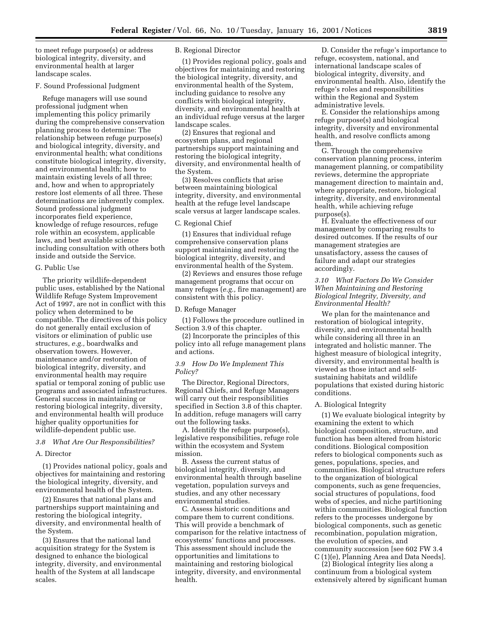to meet refuge purpose(s) or address biological integrity, diversity, and environmental health at larger landscape scales.

#### F. Sound Professional Judgment

Refuge managers will use sound professional judgment when implementing this policy primarily during the comprehensive conservation planning process to determine: The relationship between refuge purpose(s) and biological integrity, diversity, and environmental health; what conditions constitute biological integrity, diversity, and environmental health; how to maintain existing levels of all three; and, how and when to appropriately restore lost elements of all three. These determinations are inherently complex. Sound professional judgment incorporates field experience, knowledge of refuge resources, refuge role within an ecosystem, applicable laws, and best available science including consultation with others both inside and outside the Service.

#### G. Public Use

The priority wildlife-dependent public uses, established by the National Wildlife Refuge System Improvement Act of 1997, are not in conflict with this policy when determined to be compatible. The directives of this policy do not generally entail exclusion of visitors or elimination of public use structures, *e.g.,* boardwalks and observation towers. However, maintenance and/or restoration of biological integrity, diversity, and environmental health may require spatial or temporal zoning of public use programs and associated infrastructures. General success in maintaining or restoring biological integrity, diversity, and environmental health will produce higher quality opportunities for wildlife-dependent public use.

#### *3.8 What Are Our Responsibilities?*

# A. Director

(1) Provides national policy, goals and objectives for maintaining and restoring the biological integrity, diversity, and environmental health of the System.

(2) Ensures that national plans and partnerships support maintaining and restoring the biological integrity, diversity, and environmental health of the System.

(3) Ensures that the national land acquisition strategy for the System is designed to enhance the biological integrity, diversity, and environmental health of the System at all landscape scales.

#### B. Regional Director

(1) Provides regional policy, goals and objectives for maintaining and restoring the biological integrity, diversity, and environmental health of the System, including guidance to resolve any conflicts with biological integrity, diversity, and environmental health at an individual refuge versus at the larger landscape scales.

(2) Ensures that regional and ecosystem plans, and regional partnerships support maintaining and restoring the biological integrity, diversity, and environmental health of the System.

(3) Resolves conflicts that arise between maintaining biological integrity, diversity, and environmental health at the refuge level landscape scale versus at larger landscape scales.

#### C. Regional Chief

(1) Ensures that individual refuge comprehensive conservation plans support maintaining and restoring the biological integrity, diversity, and environmental health of the System.

(2) Reviews and ensures those refuge management programs that occur on many refuges (*e.g.,* fire management) are consistent with this policy.

#### D. Refuge Manager

(1) Follows the procedure outlined in Section 3.9 of this chapter.

(2) Incorporate the principles of this policy into all refuge management plans and actions.

#### *3.9 How Do We Implement This Policy?*

The Director, Regional Directors, Regional Chiefs, and Refuge Managers will carry out their responsibilities specified in Section 3.8 of this chapter. In addition, refuge managers will carry out the following tasks.

A. Identify the refuge purpose(s), legislative responsibilities, refuge role within the ecosystem and System mission.

B. Assess the current status of biological integrity, diversity, and environmental health through baseline vegetation, population surveys and studies, and any other necessary environmental studies.

C. Assess historic conditions and compare them to current conditions. This will provide a benchmark of comparison for the relative intactness of ecosystems' functions and processes. This assessment should include the opportunities and limitations to maintaining and restoring biological integrity, diversity, and environmental health.

D. Consider the refuge's importance to refuge, ecosystem, national, and international landscape scales of biological integrity, diversity, and environmental health. Also, identify the refuge's roles and responsibilities within the Regional and System administrative levels.

E. Consider the relationships among refuge purpose(s) and biological integrity, diversity and environmental health, and resolve conflicts among them.

G. Through the comprehensive conservation planning process, interim management planning, or compatibility reviews, determine the appropriate management direction to maintain and, where appropriate, restore, biological integrity, diversity, and environmental health, while achieving refuge purpose(s).

H. Evaluate the effectiveness of our management by comparing results to desired outcomes. If the results of our management strategies are unsatisfactory, assess the causes of failure and adapt our strategies accordingly.

# *3.10 What Factors Do We Consider When Maintaining and Restoring Biological Integrity, Diversity, and Environmental Health?*

We plan for the maintenance and restoration of biological integrity, diversity, and environmental health while considering all three in an integrated and holistic manner. The highest measure of biological integrity, diversity, and environmental health is viewed as those intact and selfsustaining habitats and wildlife populations that existed during historic conditions.

#### A. Biological Integrity

(1) We evaluate biological integrity by examining the extent to which biological composition, structure, and function has been altered from historic conditions. Biological composition refers to biological components such as genes, populations, species, and communities. Biological structure refers to the organization of biological components, such as gene frequencies, social structures of populations, food webs of species, and niche partitioning within communities. Biological function refers to the processes undergone by biological components, such as genetic recombination, population migration, the evolution of species, and community succession [see 602 FW 3.4 C (1)(e), Planning Area and Data Needs].

(2) Biological integrity lies along a continuum from a biological system extensively altered by significant human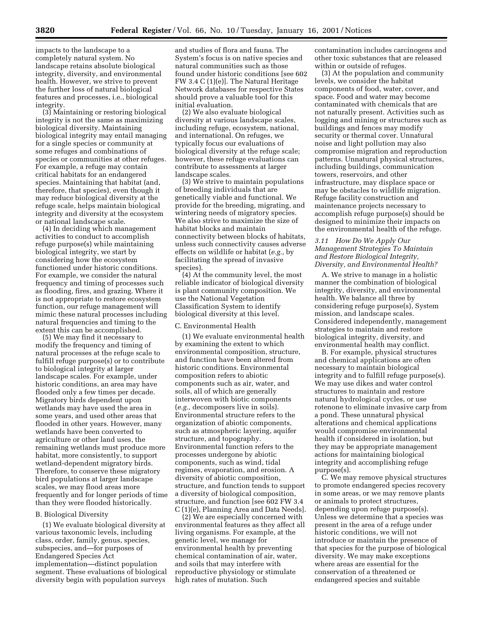impacts to the landscape to a completely natural system. No landscape retains absolute biological integrity, diversity, and environmental health. However, we strive to prevent the further loss of natural biological features and processes, i.e., biological integrity.

(3) Maintaining or restoring biological integrity is not the same as maximizing biological diversity. Maintaining biological integrity may entail managing for a single species or community at some refuges and combinations of species or communities at other refuges. For example, a refuge may contain critical habitats for an endangered species. Maintaining that habitat (and, therefore, that species), even though it may reduce biological diversity at the refuge scale, helps maintain biological integrity and diversity at the ecosystem or national landscape scale.

(4) In deciding which management activities to conduct to accomplish refuge purpose(s) while maintaining biological integrity, we start by considering how the ecosystem functioned under historic conditions. For example, we consider the natural frequency and timing of processes such as flooding, fires, and grazing. Where it is not appropriate to restore ecosystem function, our refuge management will mimic these natural processes including natural frequencies and timing to the extent this can be accomplished.

(5) We may find it necessary to modify the frequency and timing of natural processes at the refuge scale to fulfill refuge purpose(s) or to contribute to biological integrity at larger landscape scales. For example, under historic conditions, an area may have flooded only a few times per decade. Migratory birds dependent upon wetlands may have used the area in some years, and used other areas that flooded in other years. However, many wetlands have been converted to agriculture or other land uses, the remaining wetlands must produce more habitat, more consistently, to support wetland-dependent migratory birds. Therefore, to conserve these migratory bird populations at larger landscape scales, we may flood areas more frequently and for longer periods of time than they were flooded historically.

#### B. Biological Diversity

(1) We evaluate biological diversity at various taxonomic levels, including class, order, family, genus, species, subspecies, and—for purposes of Endangered Species Act implementation—distinct population segment. These evaluations of biological diversity begin with population surveys

and studies of flora and fauna. The System's focus is on native species and natural communities such as those found under historic conditions [see 602 FW 3.4 C (1)(e)]. The Natural Heritage Network databases for respective States should prove a valuable tool for this initial evaluation.

(2) We also evaluate biological diversity at various landscape scales, including refuge, ecosystem, national, and international. On refuges, we typically focus our evaluations of biological diversity at the refuge scale; however, these refuge evaluations can contribute to assessments at larger landscape scales.

(3) We strive to maintain populations of breeding individuals that are genetically viable and functional. We provide for the breeding, migrating, and wintering needs of migratory species. We also strive to maximize the size of habitat blocks and maintain connectivity between blocks of habitats, unless such connectivity causes adverse effects on wildlife or habitat (*e.g.,* by facilitating the spread of invasive species).

(4) At the community level, the most reliable indicator of biological diversity is plant community composition. We use the National Vegetation Classification System to identify biological diversity at this level.

#### C. Environmental Health

(1) We evaluate environmental health by examining the extent to which environmental composition, structure, and function have been altered from historic conditions. Environmental composition refers to abiotic components such as air, water, and soils, all of which are generally interwoven with biotic components (*e.g.,* decomposers live in soils). Environmental structure refers to the organization of abiotic components, such as atmospheric layering, aquifer structure, and topography. Environmental function refers to the processes undergone by abiotic components, such as wind, tidal regimes, evaporation, and erosion. A diversity of abiotic composition, structure, and function tends to support a diversity of biological composition, structure, and function [see 602 FW 3.4 C (1)(e), Planning Area and Data Needs].

(2) We are especially concerned with environmental features as they affect all living organisms. For example, at the genetic level, we manage for environmental health by preventing chemical contamination of air, water, and soils that may interfere with reproductive physiology or stimulate high rates of mutation. Such

contamination includes carcinogens and other toxic substances that are released within or outside of refuges.

(3) At the population and community levels, we consider the habitat components of food, water, cover, and space. Food and water may become contaminated with chemicals that are not naturally present. Activities such as logging and mining or structures such as buildings and fences may modify security or thermal cover. Unnatural noise and light pollution may also compromise migration and reproduction patterns. Unnatural physical structures, including buildings, communication towers, reservoirs, and other infrastructure, may displace space or may be obstacles to wildlife migration. Refuge facility construction and maintenance projects necessary to accomplish refuge purpose(s) should be designed to minimize their impacts on the environmental health of the refuge.

# *3.11 How Do We Apply Our Management Strategies To Maintain and Restore Biological Integrity, Diversity, and Environmental Health?*

A. We strive to manage in a holistic manner the combination of biological integrity, diversity, and environmental health. We balance all three by considering refuge purpose(s), System mission, and landscape scales. Considered independently, management strategies to maintain and restore biological integrity, diversity, and environmental health may conflict.

B. For example, physical structures and chemical applications are often necessary to maintain biological integrity and to fulfill refuge purpose(s). We may use dikes and water control structures to maintain and restore natural hydrological cycles, or use rotenone to eliminate invasive carp from a pond. These unnatural physical alterations and chemical applications would compromise environmental health if considered in isolation, but they may be appropriate management actions for maintaining biological integrity and accomplishing refuge purpose(s).

C. We may remove physical structures to promote endangered species recovery in some areas, or we may remove plants or animals to protect structures, depending upon refuge purpose(s). Unless we determine that a species was present in the area of a refuge under historic conditions, we will not introduce or maintain the presence of that species for the purpose of biological diversity. We may make exceptions where areas are essential for the conservation of a threatened or endangered species and suitable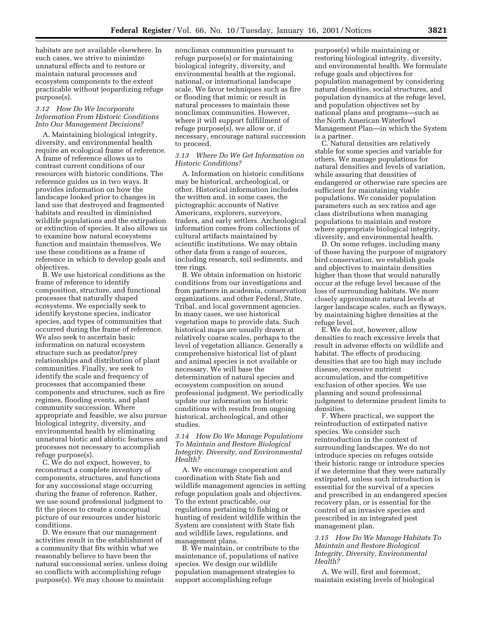habitats are not available elsewhere. In such cases, we strive to minimize unnatural effects and to restore or maintain natural processes and ecosystem components to the extent practicable without jeopardizing refuge purpose(s).

# *3.12 How Do We Incorporate Information From Historic Conditions Into Our Management Decisions?*

A. Maintaining biological integrity, diversity, and environmental health require an ecological frame of reference. A frame of reference allows us to contrast current conditions of our resources with historic conditions. The reference guides us in two ways. It provides information on how the landscape looked prior to changes in land use that destroyed and fragmented habitats and resulted in diminished wildlife populations and the extirpation or extinction of species. It also allows us to examine how natural ecosystems function and maintain themselves. We use these conditions as a frame of reference in which to develop goals and objectives.

B. We use historical conditions as the frame of reference to identify composition, structure, and functional processes that naturally shaped ecosystems. We especially seek to identify keystone species, indicator species, and types of communities that occurred during the frame of reference. We also seek to ascertain basic information on natural ecosystem structure such as predator/prey relationships and distribution of plant communities. Finally, we seek to identify the scale and frequency of processes that accompanied these components and structures, such as fire regimes, flooding events, and plant community succession. Where appropriate and feasible, we also pursue biological integrity, diversity, and environmental health by eliminating unnatural biotic and abiotic features and processes not necessary to accomplish refuge purpose(s).

C. We do not expect, however, to reconstruct a complete inventory of components, structures, and functions for any successional stage occurring during the frame of reference. Rather, we use sound professional judgment to fit the pieces to create a conceptual picture of our resources under historic conditions.

D. We ensure that our management activities result in the establishment of a community that fits within what we reasonably believe to have been the natural successional series, unless doing so conflicts with accomplishing refuge purpose(s). We may choose to maintain

nonclimax communities pursuant to refuge purpose(s) or for maintaining biological integrity, diversity, and environmental health at the regional, national, or international landscape scale. We favor techniques such as fire or flooding that mimic or result in natural processes to maintain these nonclimax communities. However, where it will support fulfillment of refuge purpose(s), we allow or, if necessary, encourage natural succession to proceed.

# *3.13 Where Do We Get Information on Historic Conditions?*

A. Information on historic conditions may be historical, archeological, or other. Historical information includes the written and, in some cases, the pictographic accounts of Native Americans, explorers, surveyors, traders, and early settlers. Archeological information comes from collections of cultural artifacts maintained by scientific institutions. We may obtain other data from a range of sources, including research, soil sediments, and tree rings.

B. We obtain information on historic conditions from our investigations and from partners in academia, conservation organizations, and other Federal, State, Tribal, and local government agencies. In many cases, we use historical vegetation maps to provide data. Such historical maps are usually drawn at relatively coarse scales, perhaps to the level of vegetation alliance. Generally a comprehensive historical list of plant and animal species is not available or necessary. We will base the determination of natural species and ecosystem composition on sound professional judgment. We periodically update our information on historic conditions with results from ongoing historical, archeological, and other studies.

# *3.14 How Do We Manage Populations To Maintain and Restore Biological Integrity, Diversity, and Environmental Health?*

A. We encourage cooperation and coordination with State fish and wildlife management agencies in setting refuge population goals and objectives. To the extent practicable, our regulations pertaining to fishing or hunting of resident wildlife within the System are consistent with State fish and wildlife laws, regulations, and management plans.

B. We maintain, or contribute to the maintenance of, populations of native species. We design our wildlife population management strategies to support accomplishing refuge

purpose(s) while maintaining or restoring biological integrity, diversity, and environmental health. We formulate refuge goals and objectives for population management by considering natural densities, social structures, and population dynamics at the refuge level, and population objectives set by national plans and programs—such as the North American Waterfowl Management Plan—in which the System is a partner.

C. Natural densities are relatively stable for some species and variable for others. We manage populations for natural densities and levels of variation, while assuring that densities of endangered or otherwise rare species are sufficient for maintaining viable populations. We consider population parameters such as sex ratios and age class distributions when managing populations to maintain and restore where appropriate biological integrity, diversity, and environmental health.

D. On some refuges, including many of those having the purpose of migratory bird conservation, we establish goals and objectives to maintain densities higher than those that would naturally occur at the refuge level because of the loss of surrounding habitats. We more closely approximate natural levels at larger landscape scales, such as flyways, by maintaining higher densities at the refuge level.

E. We do not, however, allow densities to reach excessive levels that result in adverse effects on wildlife and habitat. The effects of producing densities that are too high may include disease, excessive nutrient accumulation, and the competitive exclusion of other species. We use planning and sound professional judgment to determine prudent limits to densities.

F. Where practical, we support the reintroduction of extirpated native species. We consider such reintroduction in the context of surrounding landscapes. We do not introduce species on refuges outside their historic range or introduce species if we determine that they were naturally extirpated, unless such introduction is essential for the survival of a species and prescribed in an endangered species recovery plan, or is essential for the control of an invasive species and prescribed in an integrated pest management plan.

# *3.15 How Do We Manage Habitats To Maintain and Restore Biological Integrity, Diversity, Environmental Health?*

A. We will, first and foremost, maintain existing levels of biological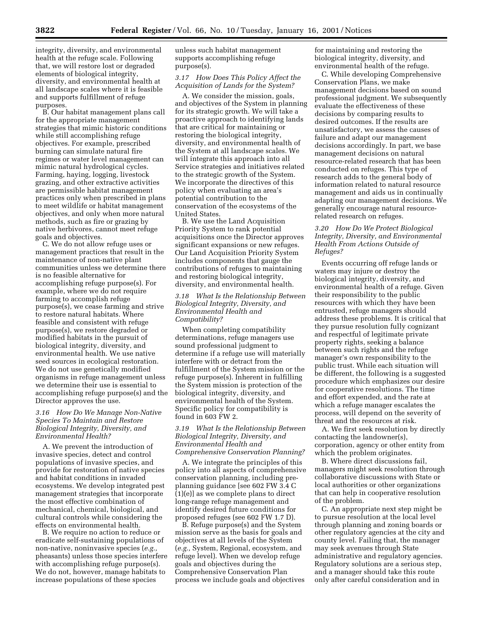integrity, diversity, and environmental health at the refuge scale. Following that, we will restore lost or degraded elements of biological integrity, diversity, and environmental health at all landscape scales where it is feasible and supports fulfillment of refuge purposes.

B. Our habitat management plans call for the appropriate management strategies that mimic historic conditions while still accomplishing refuge objectives. For example, prescribed burning can simulate natural fire regimes or water level management can mimic natural hydrological cycles. Farming, haying, logging, livestock grazing, and other extractive activities are permissible habitat management practices only when prescribed in plans to meet wildlife or habitat management objectives, and only when more natural methods, such as fire or grazing by native herbivores, cannot meet refuge goals and objectives.

C. We do not allow refuge uses or management practices that result in the maintenance of non-native plant communities unless we determine there is no feasible alternative for accomplishing refuge purpose(s). For example, where we do not require farming to accomplish refuge purpose(s), we cease farming and strive to restore natural habitats. Where feasible and consistent with refuge purpose(s), we restore degraded or modified habitats in the pursuit of biological integrity, diversity, and environmental health. We use native seed sources in ecological restoration. We do not use genetically modified organisms in refuge management unless we determine their use is essential to accomplishing refuge purpose(s) and the Director approves the use.

# *3.16 How Do We Manage Non-Native Species To Maintain and Restore Biological Integrity, Diversity, and Environmental Health?*

A. We prevent the introduction of invasive species, detect and control populations of invasive species, and provide for restoration of native species and habitat conditions in invaded ecosystems. We develop integrated pest management strategies that incorporate the most effective combination of mechanical, chemical, biological, and cultural controls while considering the effects on environmental health.

B. We require no action to reduce or eradicate self-sustaining populations of non-native, noninvasive species (*e.g.,* pheasants) unless those species interfere with accomplishing refuge purpose(s). We do not, however, manage habitats to increase populations of these species

unless such habitat management supports accomplishing refuge purpose(s).

# *3.17 How Does This Policy Affect the Acquisition of Lands for the System?*

A. We consider the mission, goals, and objectives of the System in planning for its strategic growth. We will take a proactive approach to identifying lands that are critical for maintaining or restoring the biological integrity, diversity, and environmental health of the System at all landscape scales. We will integrate this approach into all Service strategies and initiatives related to the strategic growth of the System. We incorporate the directives of this policy when evaluating an area's potential contribution to the conservation of the ecosystems of the United States.

B. We use the Land Acquisition Priority System to rank potential acquisitions once the Director approves significant expansions or new refuges. Our Land Acquisition Priority System includes components that gauge the contributions of refuges to maintaining and restoring biological integrity, diversity, and environmental health.

# *3.18 What Is the Relationship Between Biological Integrity, Diversity, and Environmental Health and Compatibility?*

When completing compatibility determinations, refuge managers use sound professional judgment to determine if a refuge use will materially interfere with or detract from the fulfillment of the System mission or the refuge purpose(s). Inherent in fulfilling the System mission is protection of the biological integrity, diversity, and environmental health of the System. Specific policy for compatibility is found in 603 FW 2.

# *3.19 What Is the Relationship Between Biological Integrity, Diversity, and Environmental Health and Comprehensive Conservation Planning?*

A. We integrate the principles of this policy into all aspects of comprehensive conservation planning, including preplanning guidance [see 602 FW 3.4 C (1)(e)] as we complete plans to direct long-range refuge management and identify desired future conditions for proposed refuges (see 602 FW 1.7 D).

B. Refuge purpose(s) and the System mission serve as the basis for goals and objectives at all levels of the System (*e.g.,* System, Regional, ecosystem, and refuge level). When we develop refuge goals and objectives during the Comprehensive Conservation Plan process we include goals and objectives for maintaining and restoring the biological integrity, diversity, and environmental health of the refuge.

C. While developing Comprehensive Conservation Plans, we make management decisions based on sound professional judgment. We subsequently evaluate the effectiveness of these decisions by comparing results to desired outcomes. If the results are unsatisfactory, we assess the causes of failure and adapt our management decisions accordingly. In part, we base management decisions on natural resource-related research that has been conducted on refuges. This type of research adds to the general body of information related to natural resource management and aids us in continually adapting our management decisions. We generally encourage natural resourcerelated research on refuges.

# *3.20 How Do We Protect Biological Integrity, Diversity, and Environmental Health From Actions Outside of Refuges?*

Events occurring off refuge lands or waters may injure or destroy the biological integrity, diversity, and environmental health of a refuge. Given their responsibility to the public resources with which they have been entrusted, refuge managers should address these problems. It is critical that they pursue resolution fully cognizant and respectful of legitimate private property rights, seeking a balance between such rights and the refuge manager's own responsibility to the public trust. While each situation will be different, the following is a suggested procedure which emphasizes our desire for cooperative resolutions. The time and effort expended, and the rate at which a refuge manager escalates the process, will depend on the severity of threat and the resources at risk.

A. We first seek resolution by directly contacting the landowner(s), corporation, agency or other entity from which the problem originates.

B. Where direct discussions fail, managers might seek resolution through collaborative discussions with State or local authorities or other organizations that can help in cooperative resolution of the problem.

C. An appropriate next step might be to pursue resolution at the local level through planning and zoning boards or other regulatory agencies at the city and county level. Failing that, the manager may seek avenues through State administrative and regulatory agencies. Regulatory solutions are a serious step, and a manager should take this route only after careful consideration and in